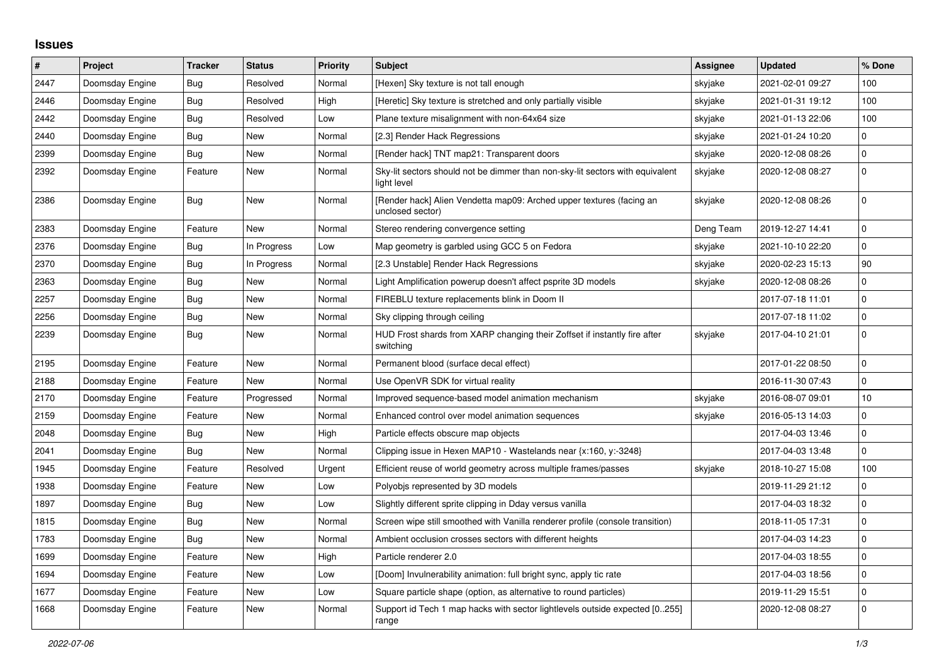## **Issues**

| $\vert$ # | <b>Project</b>  | <b>Tracker</b> | <b>Status</b> | <b>Priority</b> | <b>Subject</b>                                                                               | <b>Assignee</b> | <b>Updated</b>   | % Done              |
|-----------|-----------------|----------------|---------------|-----------------|----------------------------------------------------------------------------------------------|-----------------|------------------|---------------------|
| 2447      | Doomsday Engine | Bug            | Resolved      | Normal          | [Hexen] Sky texture is not tall enough                                                       | skyjake         | 2021-02-01 09:27 | 100                 |
| 2446      | Doomsday Engine | Bug            | Resolved      | High            | [Heretic] Sky texture is stretched and only partially visible                                | skyjake         | 2021-01-31 19:12 | 100                 |
| 2442      | Doomsday Engine | Bug            | Resolved      | Low             | Plane texture misalignment with non-64x64 size                                               | skyjake         | 2021-01-13 22:06 | 100                 |
| 2440      | Doomsday Engine | Bug            | New           | Normal          | [2.3] Render Hack Regressions                                                                | skyjake         | 2021-01-24 10:20 | 0                   |
| 2399      | Doomsday Engine | Bug            | New           | Normal          | [Render hack] TNT map21: Transparent doors                                                   | skyjake         | 2020-12-08 08:26 | $\mathsf{O}\xspace$ |
| 2392      | Doomsday Engine | Feature        | New           | Normal          | Sky-lit sectors should not be dimmer than non-sky-lit sectors with equivalent<br>light level | skyjake         | 2020-12-08 08:27 | $\Omega$            |
| 2386      | Doomsday Engine | <b>Bug</b>     | New           | Normal          | [Render hack] Alien Vendetta map09: Arched upper textures (facing an<br>unclosed sector)     | skyjake         | 2020-12-08 08:26 | $\Omega$            |
| 2383      | Doomsday Engine | Feature        | New           | Normal          | Stereo rendering convergence setting                                                         | Deng Team       | 2019-12-27 14:41 | $\mathbf 0$         |
| 2376      | Doomsday Engine | Bug            | In Progress   | Low             | Map geometry is garbled using GCC 5 on Fedora                                                | skyjake         | 2021-10-10 22:20 | $\mathbf{0}$        |
| 2370      | Doomsday Engine | Bug            | In Progress   | Normal          | [2.3 Unstable] Render Hack Regressions                                                       | skyjake         | 2020-02-23 15:13 | 90                  |
| 2363      | Doomsday Engine | Bug            | New           | Normal          | Light Amplification powerup doesn't affect psprite 3D models                                 | skyjake         | 2020-12-08 08:26 | $\mathbf 0$         |
| 2257      | Doomsday Engine | Bug            | New           | Normal          | FIREBLU texture replacements blink in Doom II                                                |                 | 2017-07-18 11:01 | $\mathbf 0$         |
| 2256      | Doomsday Engine | Bug            | New           | Normal          | Sky clipping through ceiling                                                                 |                 | 2017-07-18 11:02 | $\mathbf 0$         |
| 2239      | Doomsday Engine | <b>Bug</b>     | New           | Normal          | HUD Frost shards from XARP changing their Zoffset if instantly fire after<br>switching       | skyjake         | 2017-04-10 21:01 | $\mathbf 0$         |
| 2195      | Doomsday Engine | Feature        | New           | Normal          | Permanent blood (surface decal effect)                                                       |                 | 2017-01-22 08:50 | $\mathbf 0$         |
| 2188      | Doomsday Engine | Feature        | New           | Normal          | Use OpenVR SDK for virtual reality                                                           |                 | 2016-11-30 07:43 | $\mathbf 0$         |
| 2170      | Doomsday Engine | Feature        | Progressed    | Normal          | Improved sequence-based model animation mechanism                                            | skyjake         | 2016-08-07 09:01 | 10                  |
| 2159      | Doomsday Engine | Feature        | New           | Normal          | Enhanced control over model animation sequences                                              | skyjake         | 2016-05-13 14:03 | $\mathbf 0$         |
| 2048      | Doomsday Engine | Bug            | New           | High            | Particle effects obscure map objects                                                         |                 | 2017-04-03 13:46 | $\mathbf 0$         |
| 2041      | Doomsday Engine | Bug            | New           | Normal          | Clipping issue in Hexen MAP10 - Wastelands near {x:160, y:-3248}                             |                 | 2017-04-03 13:48 | $\mathbf{0}$        |
| 1945      | Doomsday Engine | Feature        | Resolved      | Urgent          | Efficient reuse of world geometry across multiple frames/passes                              | skyjake         | 2018-10-27 15:08 | 100                 |
| 1938      | Doomsday Engine | Feature        | New           | Low             | Polyobis represented by 3D models                                                            |                 | 2019-11-29 21:12 | 0                   |
| 1897      | Doomsday Engine | Bug            | New           | Low             | Slightly different sprite clipping in Dday versus vanilla                                    |                 | 2017-04-03 18:32 | $\mathbf 0$         |
| 1815      | Doomsday Engine | Bug            | New           | Normal          | Screen wipe still smoothed with Vanilla renderer profile (console transition)                |                 | 2018-11-05 17:31 | $\Omega$            |
| 1783      | Doomsday Engine | <b>Bug</b>     | New           | Normal          | Ambient occlusion crosses sectors with different heights                                     |                 | 2017-04-03 14:23 | $\mathbf 0$         |
| 1699      | Doomsday Engine | Feature        | New           | High            | Particle renderer 2.0                                                                        |                 | 2017-04-03 18:55 | $\mathbf 0$         |
| 1694      | Doomsday Engine | Feature        | New           | Low             | [Doom] Invulnerability animation: full bright sync, apply tic rate                           |                 | 2017-04-03 18:56 | $\mathbf 0$         |
| 1677      | Doomsday Engine | Feature        | New           | Low             | Square particle shape (option, as alternative to round particles)                            |                 | 2019-11-29 15:51 | $\mathbf 0$         |
| 1668      | Doomsday Engine | Feature        | New           | Normal          | Support id Tech 1 map hacks with sector lightlevels outside expected [0255]<br>range         |                 | 2020-12-08 08:27 | $\Omega$            |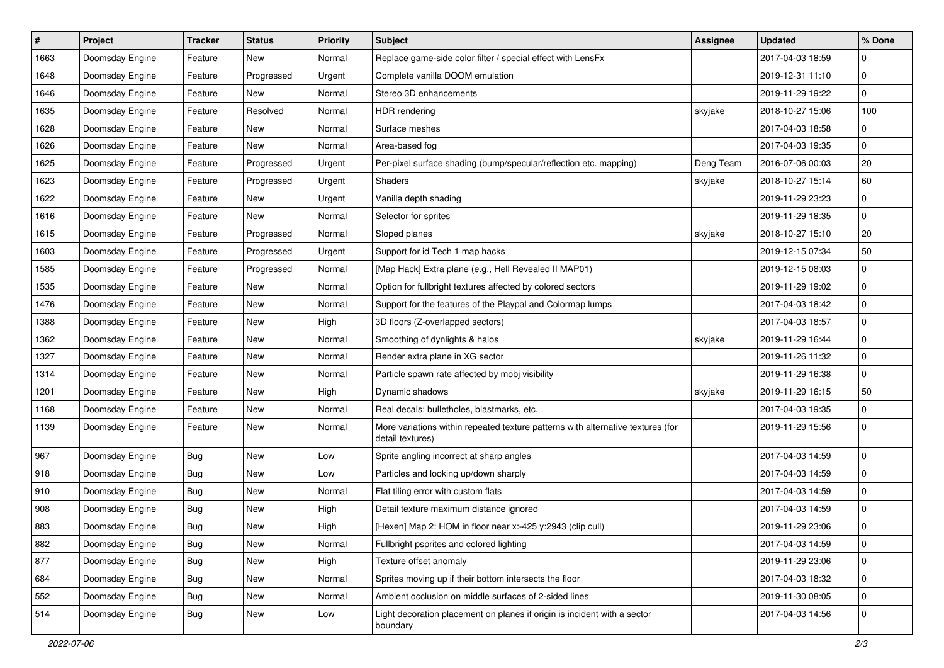| $\vert$ # | Project         | <b>Tracker</b> | <b>Status</b> | <b>Priority</b> | <b>Subject</b>                                                                                      | <b>Assignee</b> | <b>Updated</b>   | % Done      |
|-----------|-----------------|----------------|---------------|-----------------|-----------------------------------------------------------------------------------------------------|-----------------|------------------|-------------|
| 1663      | Doomsday Engine | Feature        | New           | Normal          | Replace game-side color filter / special effect with LensFx                                         |                 | 2017-04-03 18:59 | $\Omega$    |
| 1648      | Doomsday Engine | Feature        | Progressed    | Urgent          | Complete vanilla DOOM emulation                                                                     |                 | 2019-12-31 11:10 | $\mathbf 0$ |
| 1646      | Doomsday Engine | Feature        | New           | Normal          | Stereo 3D enhancements                                                                              |                 | 2019-11-29 19:22 | $\mathbf 0$ |
| 1635      | Doomsday Engine | Feature        | Resolved      | Normal          | <b>HDR</b> rendering                                                                                | skyjake         | 2018-10-27 15:06 | 100         |
| 1628      | Doomsday Engine | Feature        | New           | Normal          | Surface meshes                                                                                      |                 | 2017-04-03 18:58 | $\mathbf 0$ |
| 1626      | Doomsday Engine | Feature        | New           | Normal          | Area-based fog                                                                                      |                 | 2017-04-03 19:35 | 0           |
| 1625      | Doomsday Engine | Feature        | Progressed    | Urgent          | Per-pixel surface shading (bump/specular/reflection etc. mapping)                                   | Deng Team       | 2016-07-06 00:03 | 20          |
| 1623      | Doomsday Engine | Feature        | Progressed    | Urgent          | <b>Shaders</b>                                                                                      | skyjake         | 2018-10-27 15:14 | 60          |
| 1622      | Doomsday Engine | Feature        | New           | Urgent          | Vanilla depth shading                                                                               |                 | 2019-11-29 23:23 | $\mathbf 0$ |
| 1616      | Doomsday Engine | Feature        | New           | Normal          | Selector for sprites                                                                                |                 | 2019-11-29 18:35 | $\mathbf 0$ |
| 1615      | Doomsday Engine | Feature        | Progressed    | Normal          | Sloped planes                                                                                       | skyjake         | 2018-10-27 15:10 | 20          |
| 1603      | Doomsday Engine | Feature        | Progressed    | Urgent          | Support for id Tech 1 map hacks                                                                     |                 | 2019-12-15 07:34 | 50          |
| 1585      | Doomsday Engine | Feature        | Progressed    | Normal          | [Map Hack] Extra plane (e.g., Hell Revealed II MAP01)                                               |                 | 2019-12-15 08:03 | 0           |
| 1535      | Doomsday Engine | Feature        | New           | Normal          | Option for fullbright textures affected by colored sectors                                          |                 | 2019-11-29 19:02 | $\mathbf 0$ |
| 1476      | Doomsday Engine | Feature        | New           | Normal          | Support for the features of the Playpal and Colormap lumps                                          |                 | 2017-04-03 18:42 | $\mathbf 0$ |
| 1388      | Doomsday Engine | Feature        | New           | High            | 3D floors (Z-overlapped sectors)                                                                    |                 | 2017-04-03 18:57 | 0           |
| 1362      | Doomsday Engine | Feature        | New           | Normal          | Smoothing of dynlights & halos                                                                      | skyjake         | 2019-11-29 16:44 | $\mathbf 0$ |
| 1327      | Doomsday Engine | Feature        | New           | Normal          | Render extra plane in XG sector                                                                     |                 | 2019-11-26 11:32 | $\mathbf 0$ |
| 1314      | Doomsday Engine | Feature        | New           | Normal          | Particle spawn rate affected by mobj visibility                                                     |                 | 2019-11-29 16:38 | $\mathbf 0$ |
| 1201      | Doomsday Engine | Feature        | New           | High            | Dynamic shadows                                                                                     | skyjake         | 2019-11-29 16:15 | 50          |
| 1168      | Doomsday Engine | Feature        | New           | Normal          | Real decals: bulletholes, blastmarks, etc.                                                          |                 | 2017-04-03 19:35 | 0           |
| 1139      | Doomsday Engine | Feature        | New           | Normal          | More variations within repeated texture patterns with alternative textures (for<br>detail textures) |                 | 2019-11-29 15:56 | $\mathbf 0$ |
| 967       | Doomsday Engine | <b>Bug</b>     | New           | Low             | Sprite angling incorrect at sharp angles                                                            |                 | 2017-04-03 14:59 | $\mathbf 0$ |
| 918       | Doomsday Engine | Bug            | New           | Low             | Particles and looking up/down sharply                                                               |                 | 2017-04-03 14:59 | $\mathbf 0$ |
| 910       | Doomsday Engine | Bug            | New           | Normal          | Flat tiling error with custom flats                                                                 |                 | 2017-04-03 14:59 | 0           |
| 908       | Doomsday Engine | <b>Bug</b>     | New           | High            | Detail texture maximum distance ignored                                                             |                 | 2017-04-03 14:59 | $\mathbf 0$ |
| 883       | Doomsday Engine | Bug            | New           | High            | [Hexen] Map 2: HOM in floor near x:-425 y:2943 (clip cull)                                          |                 | 2019-11-29 23:06 | $\mathbf 0$ |
| 882       | Doomsday Engine | Bug            | New           | Normal          | Fullbright psprites and colored lighting                                                            |                 | 2017-04-03 14:59 | 0           |
| 877       | Doomsday Engine | <b>Bug</b>     | New           | High            | Texture offset anomaly                                                                              |                 | 2019-11-29 23:06 | $\mathbf 0$ |
| 684       | Doomsday Engine | Bug            | New           | Normal          | Sprites moving up if their bottom intersects the floor                                              |                 | 2017-04-03 18:32 | $\mathbf 0$ |
| 552       | Doomsday Engine | <b>Bug</b>     | New           | Normal          | Ambient occlusion on middle surfaces of 2-sided lines                                               |                 | 2019-11-30 08:05 | 0           |
| 514       | Doomsday Engine | <b>Bug</b>     | New           | Low             | Light decoration placement on planes if origin is incident with a sector<br>boundary                |                 | 2017-04-03 14:56 | 0           |